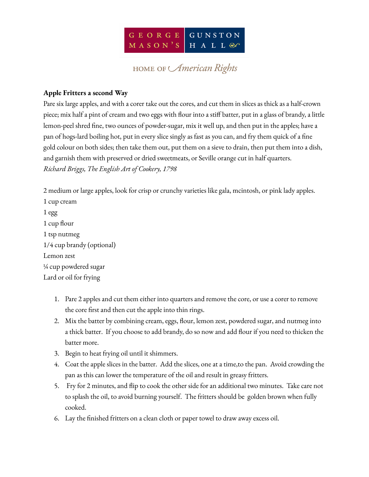

## HOME OF *American* Rights

## **Apple Fritters a second Way**

Pare six large apples, and with a corer take out the cores, and cut them in slices as thick as a half-crown piece; mix half a pint of cream and two eggs with flour into a stiff batter, put in a glass of brandy, a little lemon-peel shred fine, two ounces of powder-sugar, mix it well up, and then put in the apples; have a pan of hogs-lard boiling hot, put in every slice singly as fast as you can, and fry them quick of a fine gold colour on both sides; then take them out, put them on a sieve to drain, then put them into a dish, and garnish them with preserved or dried sweetmeats, or Seville orange cut in half quarters. *Richard Briggs, The English Art of Cookery, 1798*

2 medium or large apples, look for crisp or crunchy varieties like gala, mcintosh, or pink lady apples. 1 cup cream 1 egg 1 cup flour 1 tsp nutmeg 1/4 cup brandy (optional) Lemon zest ¼ cup powdered sugar Lard or oil for frying

- 1. Pare 2 apples and cut them either into quarters and remove the core, or use a corer to remove the core first and then cut the apple into thin rings.
- 2. Mix the batter by combining cream, eggs, flour, lemon zest, powdered sugar, and nutmeg into a thick batter. If you choose to add brandy, do so now and add flour if you need to thicken the batter more.
- 3. Begin to heat frying oil until it shimmers.
- 4. Coat the apple slices in the batter. Add the slices, one at a time,to the pan. Avoid crowding the pan as this can lower the temperature of the oil and result in greasy fritters.
- 5. Fry for 2 minutes, and flip to cook the other side for an additional two minutes. Take care not to splash the oil, to avoid burning yourself. The fritters should be golden brown when fully cooked.
- 6. Lay the finished fritters on a clean cloth or paper towel to draw away excess oil.